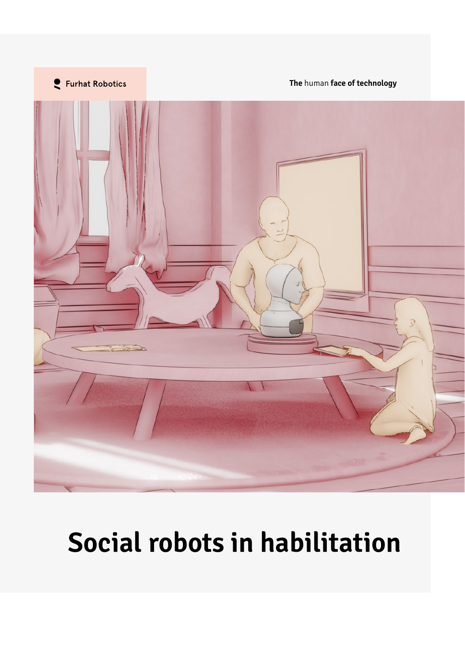

# **Social robots in habilitation**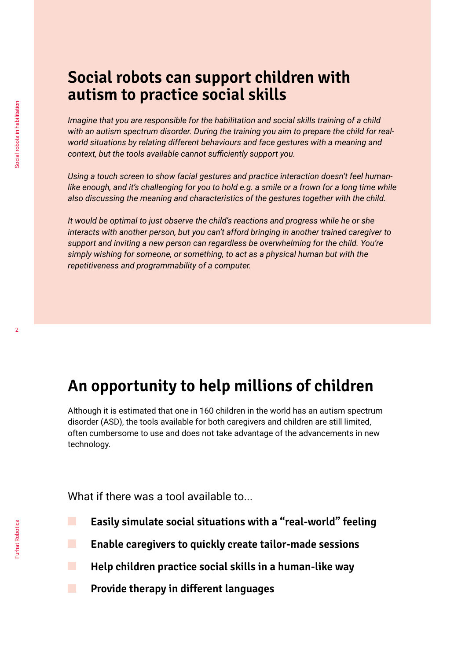### **Social robots can support children with autism to practice social skills**

*Imagine that you are responsible for the habilitation and social skills training of a child with an autism spectrum disorder. During the training you aim to prepare the child for realworld situations by relating different behaviours and face gestures with a meaning and context, but the tools available cannot sufficiently support you.*

*Using a touch screen to show facial gestures and practice interaction doesn't feel humanlike enough, and it's challenging for you to hold e.g. a smile or a frown for a long time while also discussing the meaning and characteristics of the gestures together with the child.*

*It would be optimal to just observe the child's reactions and progress while he or she interacts with another person, but you can't afford bringing in another trained caregiver to support and inviting a new person can regardless be overwhelming for the child. You're simply wishing for someone, or something, to act as a physical human but with the repetitiveness and programmability of a computer.* 

### **An opportunity to help millions of children**

Although it is estimated that one in 160 children in the world has an autism spectrum disorder (ASD), the tools available for both caregivers and children are still limited, often cumbersome to use and does not take advantage of the advancements in new technology.

What if there was a tool available to...

- **Easily simulate social situations with a "real-world" feeling**
- **Enable caregivers to quickly create tailor-made sessions**
	- **Help children practice social skills in a human-like way**
- **Provide therapy in different languages**

m.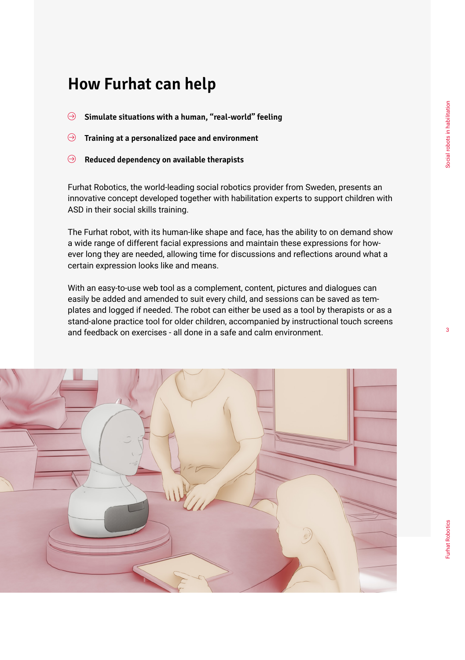#### 3

- **Simulate situations with a human, "real-world" feeling**
- **Training at a personalized pace and environment**  $\Theta$
- **Reduced dependency on available therapists**  $\Theta$

Furhat Robotics, the world-leading social robotics provider from Sweden, presents an innovative concept developed together with habilitation experts to support children with ASD in their social skills training.

The Furhat robot, with its human-like shape and face, has the ability to on demand show a wide range of different facial expressions and maintain these expressions for however long they are needed, allowing time for discussions and reflections around what a certain expression looks like and means.

With an easy-to-use web tool as a complement, content, pictures and dialogues can easily be added and amended to suit every child, and sessions can be saved as templates and logged if needed. The robot can either be used as a tool by therapists or as a stand-alone practice tool for older children, accompanied by instructional touch screens and feedback on exercises - all done in a safe and calm environment.

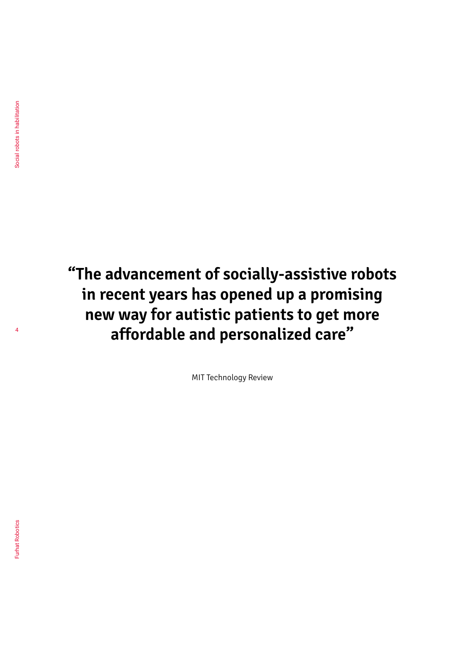4

## **"The advancement of socially-assistive robots in recent years has opened up a promising new way for autistic patients to get more affordable and personalized care"**

MIT Technology Review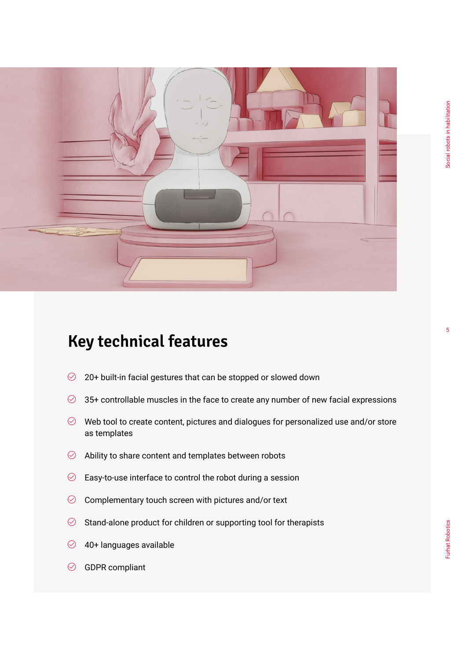

### **Key technical features**

- $\oslash$  20+ built-in facial gestures that can be stopped or slowed down
- $\oslash$  35+ controllable muscles in the face to create any number of new facial expressions
- $\oslash$  Web tool to create content, pictures and dialogues for personalized use and/or store as templates
- $\oslash$  Ability to share content and templates between robots
- $\oslash$  Easy-to-use interface to control the robot during a session
- $\oslash$  Complementary touch screen with pictures and/or text
- $\oslash$  Stand-alone product for children or supporting tool for therapists
- $\oslash$  40+ languages available
- $\odot$  GDPR compliant